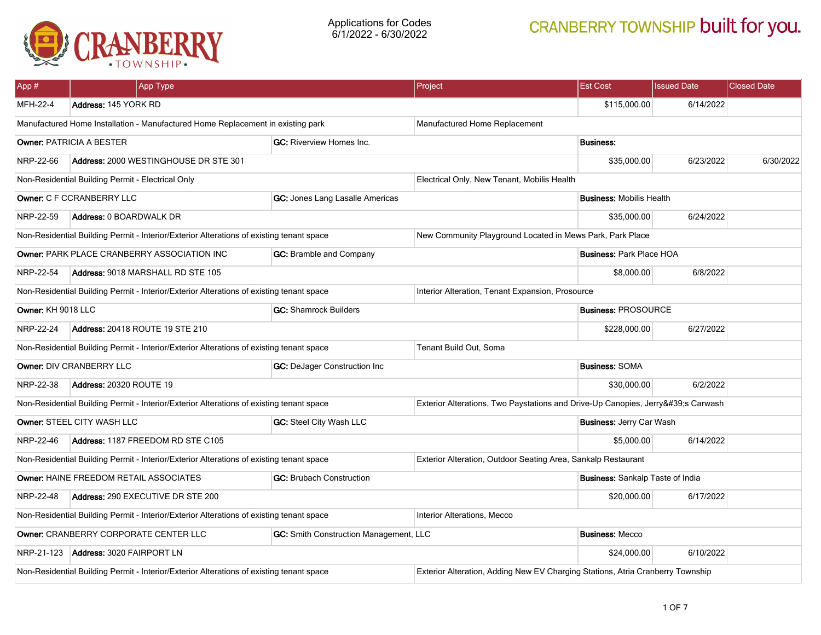

| App#                                                                                                                    |                                                                           | App Type                                                                                 |                                                                                | Project                                                   | <b>Est Cost</b>                         | <b>Issued Date</b> | <b>Closed Date</b> |  |
|-------------------------------------------------------------------------------------------------------------------------|---------------------------------------------------------------------------|------------------------------------------------------------------------------------------|--------------------------------------------------------------------------------|-----------------------------------------------------------|-----------------------------------------|--------------------|--------------------|--|
| MFH-22-4                                                                                                                | Address: 145 YORK RD                                                      |                                                                                          |                                                                                |                                                           | \$115,000.00                            | 6/14/2022          |                    |  |
| Manufactured Home Installation - Manufactured Home Replacement in existing park                                         |                                                                           |                                                                                          | Manufactured Home Replacement                                                  |                                                           |                                         |                    |                    |  |
|                                                                                                                         | Owner: PATRICIA A BESTER<br><b>GC:</b> Riverview Homes Inc.               |                                                                                          |                                                                                | <b>Business:</b>                                          |                                         |                    |                    |  |
| NRP-22-66                                                                                                               |                                                                           | Address: 2000 WESTINGHOUSE DR STE 301                                                    |                                                                                |                                                           | \$35,000.00                             | 6/23/2022          | 6/30/2022          |  |
|                                                                                                                         | Non-Residential Building Permit - Electrical Only                         |                                                                                          |                                                                                | Electrical Only, New Tenant, Mobilis Health               |                                         |                    |                    |  |
|                                                                                                                         | Owner: C F CCRANBERRY LLC                                                 |                                                                                          | GC: Jones Lang Lasalle Americas                                                |                                                           | <b>Business: Mobilis Health</b>         |                    |                    |  |
| NRP-22-59                                                                                                               | Address: 0 BOARDWALK DR                                                   |                                                                                          |                                                                                |                                                           | \$35,000.00                             | 6/24/2022          |                    |  |
|                                                                                                                         |                                                                           | Non-Residential Building Permit - Interior/Exterior Alterations of existing tenant space |                                                                                | New Community Playground Located in Mews Park, Park Place |                                         |                    |                    |  |
|                                                                                                                         |                                                                           | Owner: PARK PLACE CRANBERRY ASSOCIATION INC                                              | GC: Bramble and Company                                                        |                                                           | <b>Business: Park Place HOA</b>         |                    |                    |  |
| NRP-22-54                                                                                                               |                                                                           | Address: 9018 MARSHALL RD STE 105                                                        |                                                                                |                                                           | \$8,000.00                              | 6/8/2022           |                    |  |
|                                                                                                                         |                                                                           | Non-Residential Building Permit - Interior/Exterior Alterations of existing tenant space |                                                                                | Interior Alteration, Tenant Expansion, Prosource          |                                         |                    |                    |  |
|                                                                                                                         | Owner: KH 9018 LLC<br><b>GC: Shamrock Builders</b>                        |                                                                                          |                                                                                |                                                           | <b>Business: PROSOURCE</b>              |                    |                    |  |
| NRP-22-24                                                                                                               | <b>Address: 20418 ROUTE 19 STE 210</b>                                    |                                                                                          |                                                                                |                                                           | \$228,000.00                            | 6/27/2022          |                    |  |
| Non-Residential Building Permit - Interior/Exterior Alterations of existing tenant space                                |                                                                           |                                                                                          |                                                                                | Tenant Build Out, Soma                                    |                                         |                    |                    |  |
| Owner: DIV CRANBERRY LLC<br>GC: DeJager Construction Inc                                                                |                                                                           |                                                                                          |                                                                                | <b>Business: SOMA</b>                                     |                                         |                    |                    |  |
| NRP-22-38                                                                                                               | <b>Address: 20320 ROUTE 19</b>                                            |                                                                                          |                                                                                | \$30,000.00                                               | 6/2/2022                                |                    |                    |  |
| Non-Residential Building Permit - Interior/Exterior Alterations of existing tenant space                                |                                                                           |                                                                                          | Exterior Alterations, Two Paystations and Drive-Up Canopies, Jerry's Carwash   |                                                           |                                         |                    |                    |  |
|                                                                                                                         | Owner: STEEL CITY WASH LLC                                                |                                                                                          | GC: Steel City Wash LLC                                                        |                                                           | <b>Business: Jerry Car Wash</b>         |                    |                    |  |
| NRP-22-46                                                                                                               | Address: 1187 FREEDOM RD STE C105                                         |                                                                                          |                                                                                |                                                           | \$5,000.00                              | 6/14/2022          |                    |  |
| Non-Residential Building Permit - Interior/Exterior Alterations of existing tenant space                                |                                                                           |                                                                                          | Exterior Alteration, Outdoor Seating Area, Sankalp Restaurant                  |                                                           |                                         |                    |                    |  |
|                                                                                                                         | Owner: HAINE FREEDOM RETAIL ASSOCIATES<br><b>GC: Brubach Construction</b> |                                                                                          |                                                                                |                                                           | <b>Business: Sankalp Taste of India</b> |                    |                    |  |
| NRP-22-48                                                                                                               | Address: 290 EXECUTIVE DR STE 200                                         |                                                                                          |                                                                                | \$20,000.00                                               | 6/17/2022                               |                    |                    |  |
| Non-Residential Building Permit - Interior/Exterior Alterations of existing tenant space<br>Interior Alterations, Mecco |                                                                           |                                                                                          |                                                                                |                                                           |                                         |                    |                    |  |
| Owner: CRANBERRY CORPORATE CENTER LLC<br>GC: Smith Construction Management, LLC                                         |                                                                           |                                                                                          | <b>Business: Mecco</b>                                                         |                                                           |                                         |                    |                    |  |
| NRP-21-123                                                                                                              | <b>Address: 3020 FAIRPORT LN</b>                                          |                                                                                          |                                                                                |                                                           | \$24,000.00                             | 6/10/2022          |                    |  |
| Non-Residential Building Permit - Interior/Exterior Alterations of existing tenant space                                |                                                                           |                                                                                          | Exterior Alteration, Adding New EV Charging Stations, Atria Cranberry Township |                                                           |                                         |                    |                    |  |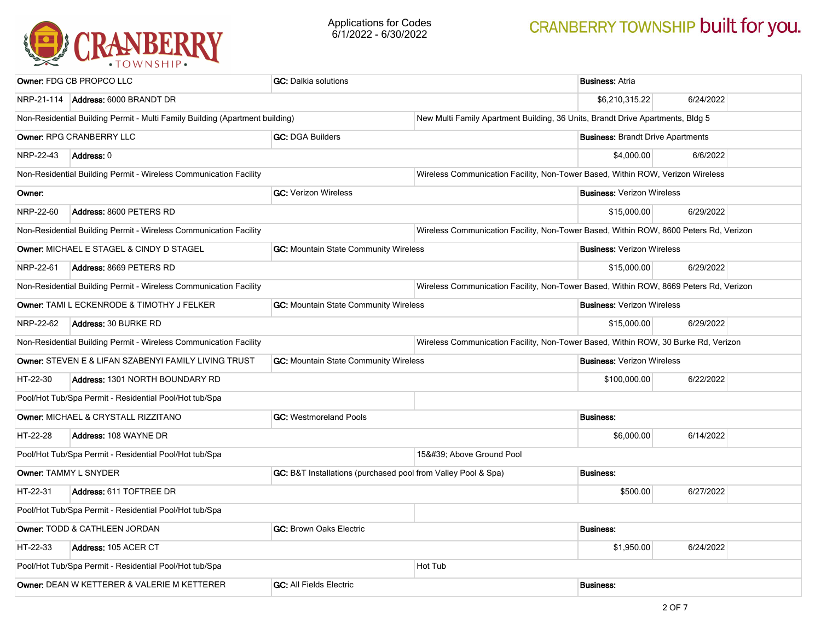

| Owner: FDG CB PROPCO LLC                                                                      |                                                                                     | <b>GC:</b> Dalkia solutions                                   |                                                                                       | <b>Business: Atria</b>                                                                |                  |  |
|-----------------------------------------------------------------------------------------------|-------------------------------------------------------------------------------------|---------------------------------------------------------------|---------------------------------------------------------------------------------------|---------------------------------------------------------------------------------------|------------------|--|
|                                                                                               | NRP-21-114 Address: 6000 BRANDT DR                                                  |                                                               |                                                                                       | \$6,210,315.22                                                                        | 6/24/2022        |  |
| Non-Residential Building Permit - Multi Family Building (Apartment building)                  |                                                                                     |                                                               | New Multi Family Apartment Building, 36 Units, Brandt Drive Apartments, Bldg 5        |                                                                                       |                  |  |
|                                                                                               | Owner: RPG CRANBERRY LLC                                                            | <b>GC: DGA Builders</b>                                       | <b>Business: Brandt Drive Apartments</b>                                              |                                                                                       |                  |  |
| NRP-22-43                                                                                     | Address: 0                                                                          |                                                               |                                                                                       | \$4,000.00                                                                            | 6/6/2022         |  |
|                                                                                               | Non-Residential Building Permit - Wireless Communication Facility                   |                                                               | Wireless Communication Facility, Non-Tower Based, Within ROW, Verizon Wireless        |                                                                                       |                  |  |
| Owner:                                                                                        |                                                                                     | <b>GC: Verizon Wireless</b>                                   |                                                                                       | <b>Business: Verizon Wireless</b>                                                     |                  |  |
| NRP-22-60                                                                                     | Address: 8600 PETERS RD                                                             |                                                               |                                                                                       | \$15,000.00                                                                           | 6/29/2022        |  |
|                                                                                               | Non-Residential Building Permit - Wireless Communication Facility                   |                                                               | Wireless Communication Facility, Non-Tower Based, Within ROW, 8600 Peters Rd, Verizon |                                                                                       |                  |  |
|                                                                                               | Owner: MICHAEL E STAGEL & CINDY D STAGEL                                            | GC: Mountain State Community Wireless                         |                                                                                       | <b>Business: Verizon Wireless</b>                                                     |                  |  |
| NRP-22-61                                                                                     | Address: 8669 PETERS RD                                                             |                                                               |                                                                                       | \$15,000.00                                                                           | 6/29/2022        |  |
| Non-Residential Building Permit - Wireless Communication Facility                             |                                                                                     |                                                               |                                                                                       | Wireless Communication Facility, Non-Tower Based, Within ROW, 8669 Peters Rd, Verizon |                  |  |
|                                                                                               | GC: Mountain State Community Wireless<br>Owner: TAMI L ECKENRODE & TIMOTHY J FELKER |                                                               |                                                                                       | <b>Business: Verizon Wireless</b>                                                     |                  |  |
| NRP-22-62<br><b>Address: 30 BURKE RD</b>                                                      |                                                                                     |                                                               |                                                                                       | \$15,000.00                                                                           | 6/29/2022        |  |
|                                                                                               | Non-Residential Building Permit - Wireless Communication Facility                   |                                                               | Wireless Communication Facility, Non-Tower Based, Within ROW, 30 Burke Rd, Verizon    |                                                                                       |                  |  |
| Owner: STEVEN E & LIFAN SZABENYI FAMILY LIVING TRUST<br>GC: Mountain State Community Wireless |                                                                                     |                                                               | <b>Business: Verizon Wireless</b>                                                     |                                                                                       |                  |  |
| HT-22-30<br>Address: 1301 NORTH BOUNDARY RD                                                   |                                                                                     |                                                               |                                                                                       | \$100,000.00                                                                          | 6/22/2022        |  |
|                                                                                               | Pool/Hot Tub/Spa Permit - Residential Pool/Hot tub/Spa                              |                                                               |                                                                                       |                                                                                       |                  |  |
|                                                                                               | Owner: MICHAEL & CRYSTALL RIZZITANO                                                 | <b>GC: Westmoreland Pools</b>                                 |                                                                                       |                                                                                       | <b>Business:</b> |  |
| HT-22-28                                                                                      | <b>Address: 108 WAYNE DR</b>                                                        |                                                               |                                                                                       | \$6,000.00                                                                            | 6/14/2022        |  |
|                                                                                               | Pool/Hot Tub/Spa Permit - Residential Pool/Hot tub/Spa                              |                                                               | 15' Above Ground Pool                                                                 |                                                                                       |                  |  |
|                                                                                               | Owner: TAMMY L SNYDER                                                               | GC: B&T Installations (purchased pool from Valley Pool & Spa) |                                                                                       | <b>Business:</b>                                                                      |                  |  |
| HT-22-31<br>Address: 611 TOFTREE DR                                                           |                                                                                     |                                                               | \$500.00                                                                              | 6/27/2022                                                                             |                  |  |
| Pool/Hot Tub/Spa Permit - Residential Pool/Hot tub/Spa                                        |                                                                                     |                                                               |                                                                                       |                                                                                       |                  |  |
| Owner: TODD & CATHLEEN JORDAN<br><b>GC: Brown Oaks Electric</b>                               |                                                                                     |                                                               | <b>Business:</b>                                                                      |                                                                                       |                  |  |
| HT-22-33                                                                                      | Address: 105 ACER CT                                                                |                                                               |                                                                                       | \$1,950.00                                                                            | 6/24/2022        |  |
| Pool/Hot Tub/Spa Permit - Residential Pool/Hot tub/Spa                                        |                                                                                     |                                                               | Hot Tub                                                                               |                                                                                       |                  |  |
| Owner: DEAN W KETTERER & VALERIE M KETTERER<br><b>GC: All Fields Electric</b>                 |                                                                                     |                                                               |                                                                                       | <b>Business:</b>                                                                      |                  |  |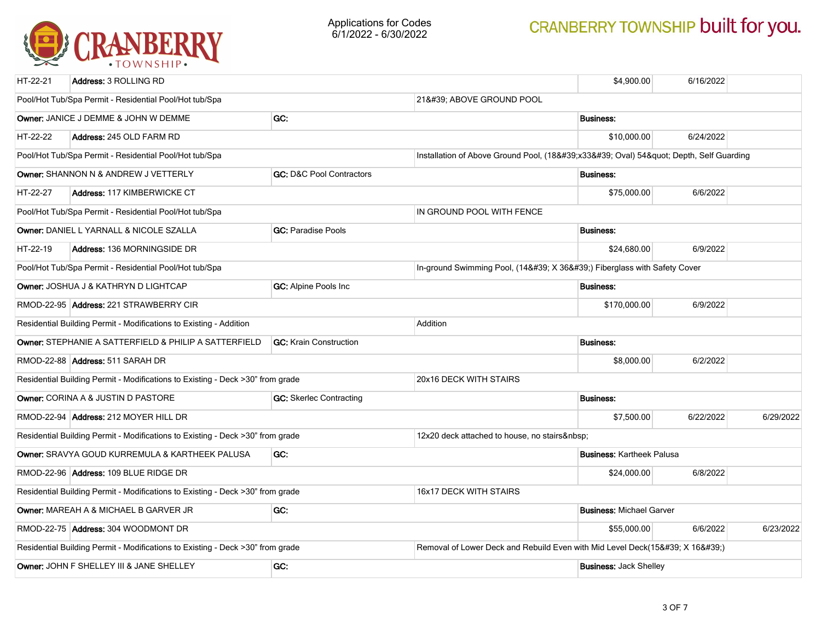

| HT-22-21                                                                                                 | Address: 3 ROLLING RD                                                          |                                     |                                                                            | \$4,900.00                       | 6/16/2022 |           |  |
|----------------------------------------------------------------------------------------------------------|--------------------------------------------------------------------------------|-------------------------------------|----------------------------------------------------------------------------|----------------------------------|-----------|-----------|--|
| Pool/Hot Tub/Spa Permit - Residential Pool/Hot tub/Spa                                                   |                                                                                |                                     | 21' ABOVE GROUND POOL                                                      |                                  |           |           |  |
| GC:<br>Owner: JANICE J DEMME & JOHN W DEMME                                                              |                                                                                |                                     | <b>Business:</b>                                                           |                                  |           |           |  |
| HT-22-22                                                                                                 | Address: 245 OLD FARM RD                                                       |                                     |                                                                            | \$10,000.00                      | 6/24/2022 |           |  |
|                                                                                                          | Pool/Hot Tub/Spa Permit - Residential Pool/Hot tub/Spa                         |                                     | Installation of Above Ground Pool, (18'x33' Oval) 54" Depth, Self Guarding |                                  |           |           |  |
|                                                                                                          | Owner: SHANNON N & ANDREW J VETTERLY                                           | <b>GC: D&amp;C Pool Contractors</b> |                                                                            | <b>Business:</b>                 |           |           |  |
| HT-22-27                                                                                                 | Address: 117 KIMBERWICKE CT                                                    |                                     |                                                                            | \$75,000.00                      | 6/6/2022  |           |  |
|                                                                                                          | Pool/Hot Tub/Spa Permit - Residential Pool/Hot tub/Spa                         |                                     | IN GROUND POOL WITH FENCE                                                  |                                  |           |           |  |
|                                                                                                          | Owner: DANIEL L YARNALL & NICOLE SZALLA                                        | <b>GC: Paradise Pools</b>           |                                                                            | <b>Business:</b>                 |           |           |  |
| HT-22-19                                                                                                 | Address: 136 MORNINGSIDE DR                                                    |                                     |                                                                            | \$24,680.00                      | 6/9/2022  |           |  |
|                                                                                                          | Pool/Hot Tub/Spa Permit - Residential Pool/Hot tub/Spa                         |                                     | In-ground Swimming Pool, (14' X 36') Fiberglass with Safety Cover          |                                  |           |           |  |
|                                                                                                          | Owner: JOSHUA J & KATHRYN D LIGHTCAP                                           | <b>GC:</b> Alpine Pools Inc         |                                                                            | <b>Business:</b>                 |           |           |  |
|                                                                                                          | RMOD-22-95 Address: 221 STRAWBERRY CIR                                         |                                     |                                                                            | \$170,000.00                     | 6/9/2022  |           |  |
| Residential Building Permit - Modifications to Existing - Addition<br>Addition                           |                                                                                |                                     |                                                                            |                                  |           |           |  |
| Owner: STEPHANIE A SATTERFIELD & PHILIP A SATTERFIELD<br><b>GC:</b> Krain Construction                   |                                                                                |                                     |                                                                            | <b>Business:</b>                 |           |           |  |
| RMOD-22-88 Address: 511 SARAH DR                                                                         |                                                                                |                                     |                                                                            | \$8,000.00                       | 6/2/2022  |           |  |
| Residential Building Permit - Modifications to Existing - Deck >30" from grade                           |                                                                                |                                     | 20x16 DECK WITH STAIRS                                                     |                                  |           |           |  |
| <b>GC:</b> Skerlec Contracting<br><b>Owner: CORINA A &amp; JUSTIN D PASTORE</b>                          |                                                                                |                                     |                                                                            | <b>Business:</b>                 |           |           |  |
|                                                                                                          | RMOD-22-94 Address: 212 MOYER HILL DR                                          |                                     |                                                                            | \$7,500.00                       | 6/22/2022 | 6/29/2022 |  |
|                                                                                                          | Residential Building Permit - Modifications to Existing - Deck >30" from grade |                                     | 12x20 deck attached to house, no stairs                                    |                                  |           |           |  |
|                                                                                                          | Owner: SRAVYA GOUD KURREMULA & KARTHEEK PALUSA                                 | GC:                                 |                                                                            | <b>Business: Kartheek Palusa</b> |           |           |  |
| RMOD-22-96 Address: 109 BLUE RIDGE DR                                                                    |                                                                                |                                     |                                                                            | \$24,000.00                      | 6/8/2022  |           |  |
| 16x17 DECK WITH STAIRS<br>Residential Building Permit - Modifications to Existing - Deck >30" from grade |                                                                                |                                     |                                                                            |                                  |           |           |  |
| GC:<br>Owner: MAREAH A & MICHAEL B GARVER JR                                                             |                                                                                |                                     | <b>Business: Michael Garver</b>                                            |                                  |           |           |  |
| RMOD-22-75 Address: 304 WOODMONT DR                                                                      |                                                                                |                                     |                                                                            | \$55,000.00                      | 6/6/2022  | 6/23/2022 |  |
| Residential Building Permit - Modifications to Existing - Deck >30" from grade                           |                                                                                |                                     | Removal of Lower Deck and Rebuild Even with Mid Level Deck(15' X 16')      |                                  |           |           |  |
| GC:<br>Owner: JOHN F SHELLEY III & JANE SHELLEY                                                          |                                                                                |                                     |                                                                            | <b>Business: Jack Shelley</b>    |           |           |  |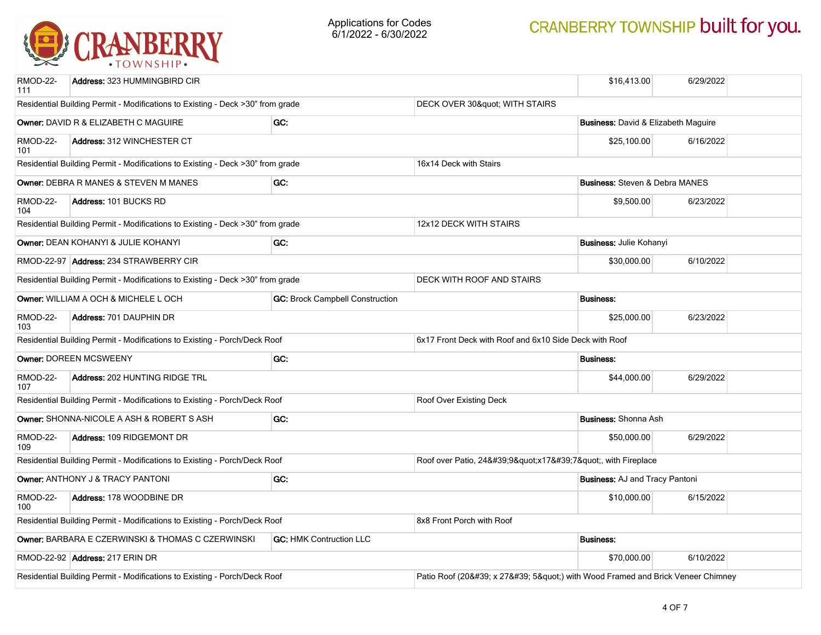

| RMOD-22-<br>111                                                                                        | Address: 323 HUMMINGBIRD CIR                                                   |                                        |                                                                     | \$16,413.00                                            | 6/29/2022 |  |
|--------------------------------------------------------------------------------------------------------|--------------------------------------------------------------------------------|----------------------------------------|---------------------------------------------------------------------|--------------------------------------------------------|-----------|--|
| Residential Building Permit - Modifications to Existing - Deck >30" from grade                         |                                                                                |                                        | DECK OVER 30" WITH STAIRS                                           |                                                        |           |  |
| GC:<br>Owner: DAVID R & ELIZABETH C MAGUIRE                                                            |                                                                                |                                        |                                                                     | <b>Business:</b> David & Elizabeth Maguire             |           |  |
| RMOD-22-<br>101                                                                                        | Address: 312 WINCHESTER CT                                                     |                                        |                                                                     | \$25,100.00                                            | 6/16/2022 |  |
|                                                                                                        | Residential Building Permit - Modifications to Existing - Deck >30" from grade |                                        | 16x14 Deck with Stairs                                              |                                                        |           |  |
|                                                                                                        | Owner: DEBRA R MANES & STEVEN M MANES                                          | GC:                                    |                                                                     | <b>Business: Steven &amp; Debra MANES</b>              |           |  |
| RMOD-22-<br>104                                                                                        | Address: 101 BUCKS RD                                                          |                                        |                                                                     | \$9,500.00                                             | 6/23/2022 |  |
|                                                                                                        | Residential Building Permit - Modifications to Existing - Deck >30" from grade |                                        | 12x12 DECK WITH STAIRS                                              |                                                        |           |  |
|                                                                                                        | Owner: DEAN KOHANYI & JULIE KOHANYI                                            | GC:                                    |                                                                     | <b>Business: Julie Kohanyi</b>                         |           |  |
|                                                                                                        | RMOD-22-97 Address: 234 STRAWBERRY CIR                                         |                                        |                                                                     | \$30,000.00                                            | 6/10/2022 |  |
|                                                                                                        | Residential Building Permit - Modifications to Existing - Deck >30" from grade | DECK WITH ROOF AND STAIRS              |                                                                     |                                                        |           |  |
|                                                                                                        | Owner: WILLIAM A OCH & MICHELE L OCH                                           | <b>GC: Brock Campbell Construction</b> |                                                                     | <b>Business:</b>                                       |           |  |
| RMOD-22-<br><b>Address: 701 DAUPHIN DR</b><br>103                                                      |                                                                                |                                        |                                                                     | \$25,000.00                                            | 6/23/2022 |  |
| Residential Building Permit - Modifications to Existing - Porch/Deck Roof                              |                                                                                |                                        |                                                                     | 6x17 Front Deck with Roof and 6x10 Side Deck with Roof |           |  |
|                                                                                                        | Owner: DOREEN MCSWEENY                                                         | GC:                                    |                                                                     | <b>Business:</b>                                       |           |  |
| RMOD-22-<br>107                                                                                        | Address: 202 HUNTING RIDGE TRL                                                 |                                        |                                                                     | \$44,000.00                                            | 6/29/2022 |  |
|                                                                                                        | Residential Building Permit - Modifications to Existing - Porch/Deck Roof      |                                        | Roof Over Existing Deck                                             |                                                        |           |  |
|                                                                                                        | Owner: SHONNA-NICOLE A ASH & ROBERT S ASH                                      | GC:                                    |                                                                     | <b>Business: Shonna Ash</b>                            |           |  |
| <b>RMOD-22-</b><br>109                                                                                 | Address: 109 RIDGEMONT DR                                                      |                                        |                                                                     | \$50,000.00                                            | 6/29/2022 |  |
| Residential Building Permit - Modifications to Existing - Porch/Deck Roof                              |                                                                                |                                        | Roof over Patio, 24'9"x17'7", with Fireplace                        |                                                        |           |  |
| Owner: ANTHONY J & TRACY PANTONI<br>GC:                                                                |                                                                                |                                        |                                                                     | <b>Business: AJ and Tracy Pantoni</b>                  |           |  |
| RMOD-22-<br>Address: 178 WOODBINE DR<br>100                                                            |                                                                                |                                        |                                                                     | \$10,000.00                                            | 6/15/2022 |  |
| Residential Building Permit - Modifications to Existing - Porch/Deck Roof<br>8x8 Front Porch with Roof |                                                                                |                                        |                                                                     |                                                        |           |  |
| Owner: BARBARA E CZERWINSKI & THOMAS C CZERWINSKI<br><b>GC: HMK Contruction LLC</b>                    |                                                                                |                                        |                                                                     | <b>Business:</b>                                       |           |  |
|                                                                                                        | RMOD-22-92 Address: 217 ERIN DR                                                |                                        |                                                                     | \$70,000.00                                            | 6/10/2022 |  |
| Residential Building Permit - Modifications to Existing - Porch/Deck Roof                              |                                                                                |                                        | Patio Roof (20' x 27' 5") with Wood Framed and Brick Veneer Chimney |                                                        |           |  |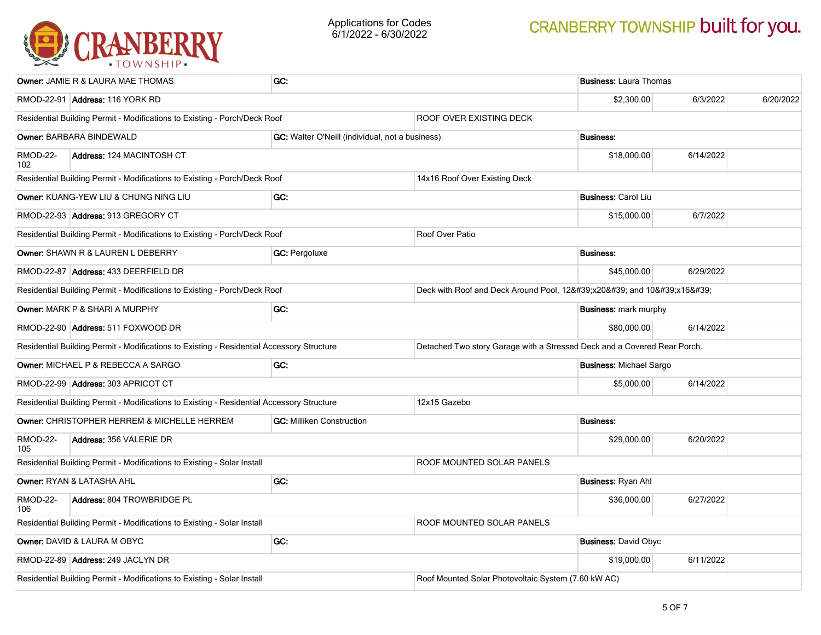

| <b>Owner: JAMIE R &amp; LAURA MAE THOMAS</b>                                                                |                                                                           | GC:                                             |                                                                          | <b>Business: Laura Thomas</b> |           |  |  |
|-------------------------------------------------------------------------------------------------------------|---------------------------------------------------------------------------|-------------------------------------------------|--------------------------------------------------------------------------|-------------------------------|-----------|--|--|
| RMOD-22-91 Address: 116 YORK RD                                                                             |                                                                           |                                                 | \$2,300.00                                                               | 6/3/2022                      | 6/20/2022 |  |  |
| Residential Building Permit - Modifications to Existing - Porch/Deck Roof<br><b>ROOF OVER EXISTING DECK</b> |                                                                           |                                                 |                                                                          |                               |           |  |  |
| Owner: BARBARA BINDEWALD                                                                                    |                                                                           | GC: Walter O'Neill (individual, not a business) |                                                                          | <b>Business:</b>              |           |  |  |
| RMOD-22-<br>102                                                                                             | Address: 124 MACINTOSH CT                                                 |                                                 |                                                                          | \$18,000.00                   | 6/14/2022 |  |  |
|                                                                                                             | Residential Building Permit - Modifications to Existing - Porch/Deck Roof |                                                 | 14x16 Roof Over Existing Deck                                            |                               |           |  |  |
| Owner: KUANG-YEW LIU & CHUNG NING LIU                                                                       |                                                                           | GC:                                             |                                                                          | <b>Business: Carol Liu</b>    |           |  |  |
| RMOD-22-93 Address: 913 GREGORY CT                                                                          |                                                                           |                                                 |                                                                          | \$15,000.00                   | 6/7/2022  |  |  |
|                                                                                                             | Residential Building Permit - Modifications to Existing - Porch/Deck Roof |                                                 | Roof Over Patio                                                          |                               |           |  |  |
| Owner: SHAWN R & LAUREN L DEBERRY                                                                           |                                                                           | <b>GC: Pergoluxe</b>                            |                                                                          | <b>Business:</b>              |           |  |  |
| RMOD-22-87 Address: 433 DEERFIELD DR                                                                        |                                                                           |                                                 |                                                                          | \$45,000.00                   | 6/29/2022 |  |  |
| Residential Building Permit - Modifications to Existing - Porch/Deck Roof                                   |                                                                           |                                                 | Deck with Roof and Deck Around Pool, 12'x20' and 10'x16'                 |                               |           |  |  |
| <b>Owner: MARK P &amp; SHARI A MURPHY</b>                                                                   |                                                                           | GC:                                             |                                                                          | <b>Business: mark murphy</b>  |           |  |  |
| RMOD-22-90 Address: 511 FOXWOOD DR                                                                          |                                                                           |                                                 |                                                                          | \$80,000.00                   | 6/14/2022 |  |  |
| Residential Building Permit - Modifications to Existing - Residential Accessory Structure                   |                                                                           |                                                 | Detached Two story Garage with a Stressed Deck and a Covered Rear Porch. |                               |           |  |  |
| Owner: MICHAEL P & REBECCA A SARGO<br>GC:                                                                   |                                                                           |                                                 | <b>Business: Michael Sargo</b>                                           |                               |           |  |  |
| RMOD-22-99 Address: 303 APRICOT CT                                                                          |                                                                           |                                                 |                                                                          | \$5,000.00                    | 6/14/2022 |  |  |
| Residential Building Permit - Modifications to Existing - Residential Accessory Structure                   |                                                                           |                                                 | 12x15 Gazebo                                                             |                               |           |  |  |
|                                                                                                             | Owner: CHRISTOPHER HERREM & MICHELLE HERREM                               | <b>GC: Milliken Construction</b>                |                                                                          | <b>Business:</b>              |           |  |  |
| <b>RMOD-22-</b><br>105                                                                                      | Address: 356 VALERIE DR                                                   |                                                 |                                                                          | \$29,000.00                   | 6/20/2022 |  |  |
|                                                                                                             | Residential Building Permit - Modifications to Existing - Solar Install   |                                                 | ROOF MOUNTED SOLAR PANELS                                                |                               |           |  |  |
| GC:<br>Owner: RYAN & LATASHA AHL                                                                            |                                                                           |                                                 | <b>Business: Ryan Ahl</b>                                                |                               |           |  |  |
| RMOD-22-<br>Address: 804 TROWBRIDGE PL<br>106                                                               |                                                                           |                                                 | \$36,000.00                                                              | 6/27/2022                     |           |  |  |
| Residential Building Permit - Modifications to Existing - Solar Install                                     |                                                                           |                                                 | <b>ROOF MOUNTED SOLAR PANELS</b>                                         |                               |           |  |  |
| GC:<br>Owner: DAVID & LAURA M OBYC                                                                          |                                                                           |                                                 |                                                                          | <b>Business: David Obyc</b>   |           |  |  |
| RMOD-22-89 Address: 249 JACLYN DR                                                                           |                                                                           |                                                 |                                                                          | \$19,000.00                   | 6/11/2022 |  |  |
| Residential Building Permit - Modifications to Existing - Solar Install                                     |                                                                           |                                                 | Roof Mounted Solar Photovoltaic System (7.60 kW AC)                      |                               |           |  |  |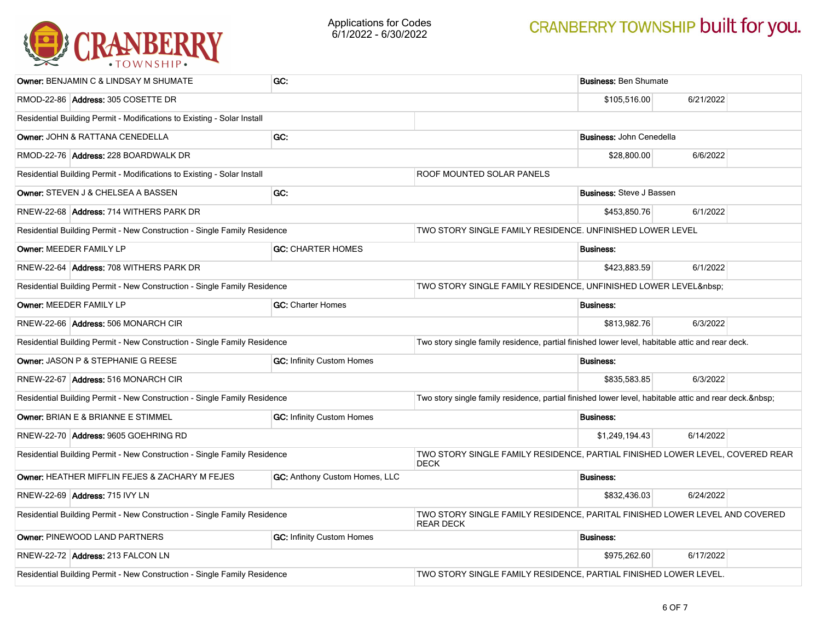

| <b>Owner: BENJAMIN C &amp; LINDSAY M SHUMATE</b>                         | GC:                                                                                             |                                                                                                 | <b>Business: Ben Shumate</b>    |           |  |
|--------------------------------------------------------------------------|-------------------------------------------------------------------------------------------------|-------------------------------------------------------------------------------------------------|---------------------------------|-----------|--|
| RMOD-22-86 Address: 305 COSETTE DR                                       |                                                                                                 |                                                                                                 |                                 | 6/21/2022 |  |
| Residential Building Permit - Modifications to Existing - Solar Install  |                                                                                                 |                                                                                                 |                                 |           |  |
| GC:<br>Owner: JOHN & RATTANA CENEDELLA                                   |                                                                                                 |                                                                                                 | <b>Business: John Cenedella</b> |           |  |
| RMOD-22-76 Address: 228 BOARDWALK DR                                     |                                                                                                 |                                                                                                 | \$28,800.00                     | 6/6/2022  |  |
| Residential Building Permit - Modifications to Existing - Solar Install  |                                                                                                 | ROOF MOUNTED SOLAR PANELS                                                                       |                                 |           |  |
| Owner: STEVEN J & CHELSEA A BASSEN                                       | GC:                                                                                             |                                                                                                 | <b>Business:</b> Steve J Bassen |           |  |
| RNEW-22-68 Address: 714 WITHERS PARK DR                                  |                                                                                                 |                                                                                                 | \$453,850.76                    | 6/1/2022  |  |
| Residential Building Permit - New Construction - Single Family Residence |                                                                                                 | TWO STORY SINGLE FAMILY RESIDENCE. UNFINISHED LOWER LEVEL                                       |                                 |           |  |
| Owner: MEEDER FAMILY LP                                                  | <b>GC: CHARTER HOMES</b>                                                                        |                                                                                                 | <b>Business:</b>                |           |  |
| RNEW-22-64 Address: 708 WITHERS PARK DR                                  |                                                                                                 |                                                                                                 | \$423,883.59                    | 6/1/2022  |  |
| Residential Building Permit - New Construction - Single Family Residence |                                                                                                 | TWO STORY SINGLE FAMILY RESIDENCE, UNFINISHED LOWER LEVEL                                       |                                 |           |  |
| Owner: MEEDER FAMILY LP                                                  | <b>GC:</b> Charter Homes                                                                        |                                                                                                 | <b>Business:</b>                |           |  |
| RNEW-22-66 Address: 506 MONARCH CIR                                      |                                                                                                 | \$813,982.76                                                                                    | 6/3/2022                        |           |  |
| Residential Building Permit - New Construction - Single Family Residence |                                                                                                 | Two story single family residence, partial finished lower level, habitable attic and rear deck. |                                 |           |  |
| Owner: JASON P & STEPHANIE G REESE<br><b>GC: Infinity Custom Homes</b>   |                                                                                                 |                                                                                                 | <b>Business:</b>                |           |  |
| RNEW-22-67 Address: 516 MONARCH CIR                                      |                                                                                                 | \$835,583.85                                                                                    | 6/3/2022                        |           |  |
| Residential Building Permit - New Construction - Single Family Residence |                                                                                                 | Two story single family residence, partial finished lower level, habitable attic and rear deck. |                                 |           |  |
| Owner: BRIAN E & BRIANNE E STIMMEL                                       | <b>GC: Infinity Custom Homes</b>                                                                |                                                                                                 | <b>Business:</b>                |           |  |
| RNEW-22-70 Address: 9605 GOEHRING RD                                     |                                                                                                 |                                                                                                 | \$1,249,194.43                  | 6/14/2022 |  |
| Residential Building Permit - New Construction - Single Family Residence | TWO STORY SINGLE FAMILY RESIDENCE, PARTIAL FINISHED LOWER LEVEL, COVERED REAR<br><b>DECK</b>    |                                                                                                 |                                 |           |  |
| Owner: HEATHER MIFFLIN FEJES & ZACHARY M FEJES                           | GC: Anthony Custom Homes, LLC                                                                   |                                                                                                 | <b>Business:</b>                |           |  |
| RNEW-22-69 Address: 715 IVY LN                                           |                                                                                                 | \$832,436.03                                                                                    | 6/24/2022                       |           |  |
| Residential Building Permit - New Construction - Single Family Residence | TWO STORY SINGLE FAMILY RESIDENCE, PARITAL FINISHED LOWER LEVEL AND COVERED<br><b>REAR DECK</b> |                                                                                                 |                                 |           |  |
| Owner: PINEWOOD LAND PARTNERS<br><b>GC: Infinity Custom Homes</b>        |                                                                                                 | <b>Business:</b>                                                                                |                                 |           |  |
| RNEW-22-72 Address: 213 FALCON LN                                        |                                                                                                 | \$975.262.60                                                                                    | 6/17/2022                       |           |  |
| Residential Building Permit - New Construction - Single Family Residence | TWO STORY SINGLE FAMILY RESIDENCE, PARTIAL FINISHED LOWER LEVEL.                                |                                                                                                 |                                 |           |  |